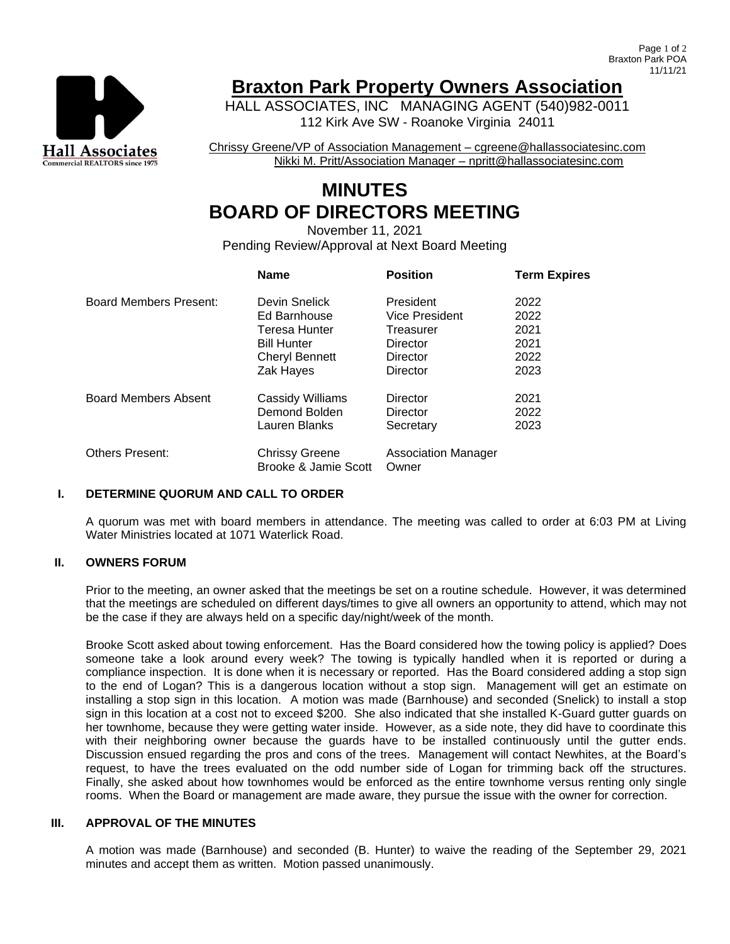

## **Braxton Park Property Owners Association**

HALL ASSOCIATES, INC MANAGING AGENT (540)982-0011 112 Kirk Ave SW - Roanoke Virginia 24011

Chrissy Greene/VP of Association Management – cgreene@hallassociatesinc.com Nikki M. Pritt/Association Manager – npritt@hallassociatesinc.com

# **MINUTES BOARD OF DIRECTORS MEETING**

November 11, 2021 Pending Review/Approval at Next Board Meeting

|                             | <b>Name</b>                                   | <b>Position</b>              | <b>Term Expires</b> |
|-----------------------------|-----------------------------------------------|------------------------------|---------------------|
| Board Members Present:      | Devin Snelick                                 | President                    | 2022                |
|                             | Ed Barnhouse                                  | Vice President               | 2022                |
|                             | Teresa Hunter                                 | Treasurer                    | 2021                |
|                             | <b>Bill Hunter</b>                            | Director                     | 2021                |
|                             | <b>Cheryl Bennett</b>                         | Director                     | 2022                |
|                             | Zak Hayes                                     | Director                     | 2023                |
| <b>Board Members Absent</b> | Cassidy Williams                              | Director                     | 2021                |
|                             | Demond Bolden                                 | Director                     | 2022                |
|                             | Lauren Blanks                                 | Secretary                    | 2023                |
| <b>Others Present:</b>      | <b>Chrissy Greene</b><br>Brooke & Jamie Scott | Association Manager<br>Owner |                     |

#### **I. DETERMINE QUORUM AND CALL TO ORDER**

A quorum was met with board members in attendance. The meeting was called to order at 6:03 PM at Living Water Ministries located at 1071 Waterlick Road.

#### **II. OWNERS FORUM**

Prior to the meeting, an owner asked that the meetings be set on a routine schedule. However, it was determined that the meetings are scheduled on different days/times to give all owners an opportunity to attend, which may not be the case if they are always held on a specific day/night/week of the month.

Brooke Scott asked about towing enforcement. Has the Board considered how the towing policy is applied? Does someone take a look around every week? The towing is typically handled when it is reported or during a compliance inspection. It is done when it is necessary or reported. Has the Board considered adding a stop sign to the end of Logan? This is a dangerous location without a stop sign. Management will get an estimate on installing a stop sign in this location. A motion was made (Barnhouse) and seconded (Snelick) to install a stop sign in this location at a cost not to exceed \$200. She also indicated that she installed K-Guard gutter guards on her townhome, because they were getting water inside. However, as a side note, they did have to coordinate this with their neighboring owner because the guards have to be installed continuously until the gutter ends. Discussion ensued regarding the pros and cons of the trees. Management will contact Newhites, at the Board's request, to have the trees evaluated on the odd number side of Logan for trimming back off the structures. Finally, she asked about how townhomes would be enforced as the entire townhome versus renting only single rooms. When the Board or management are made aware, they pursue the issue with the owner for correction.

## **III. APPROVAL OF THE MINUTES**

A motion was made (Barnhouse) and seconded (B. Hunter) to waive the reading of the September 29, 2021 minutes and accept them as written. Motion passed unanimously.